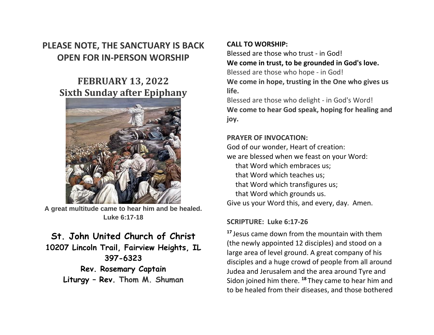## **PLEASE NOTE, THE SANCTUARY IS BACK OPEN FOR IN-PERSON WORSHIP**

# **FEBRUARY 13, 2022 Sixth Sunday after Epiphany**



**A great multitude came to hear him and be healed. Luke 6:17-18**

# **St. John United Church of Christ**

**10207 Lincoln Trail, Fairview Heights, IL 397-6323**

> **Rev. Rosemary Captain Liturgy – Rev. Thom M. Shuman**

## **CALL TO WORSHIP:**

Blessed are those who trust - in God! **We come in trust, to be grounded in God's love.** Blessed are those who hope - in God! **We come in hope, trusting in the One who gives us life.**

Blessed are those who delight - in God's Word! **We come to hear God speak, hoping for healing and joy.**

#### **PRAYER OF INVOCATION:**

God of our wonder, Heart of creation: we are blessed when we feast on your Word: that Word which embraces us; that Word which teaches us; that Word which transfigures us; that Word which grounds us. Give us your Word this, and every, day. Amen.

### **SCRIPTURE: Luke 6:17-26**

**<sup>17</sup>** Jesus came down from the mountain with them (the newly appointed 12 disciples) and stood on a large area of level ground. A great company of his disciples and a huge crowd of people from all around Judea and Jerusalem and the area around Tyre and Sidon joined him there. **<sup>18</sup>** They came to hear him and to be healed from their diseases, and those bothered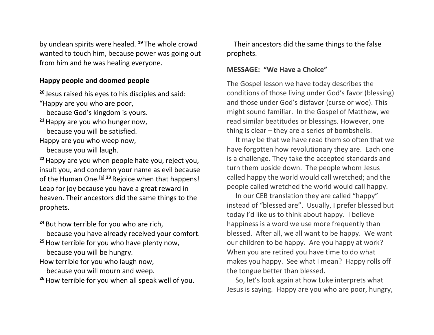by unclean spirits were healed. **<sup>19</sup>** The whole crowd wanted to touch him, because power was going out from him and he was healing everyone.

#### **Happy people and doomed people**

**<sup>20</sup>** Jesus raised his eyes to his disciples and said:

"Happy are you who are poor,

because God's kingdom is yours.

**<sup>21</sup>**Happy are you who hunger now, because you will be satisfied.

Happy are you who weep now, because you will laugh.

**<sup>22</sup>**Happy are you when people hate you, reject you, insult you, and condemn your name as evil because of the Human One.<sup>[\[a\]](https://www.biblegateway.com/passage/?search=Luke+6%3A17-26&version=CEB#fen-CEB-25160a) 23</sup> Rejoice when that happens! Leap for joy because you have a great reward in heaven. Their ancestors did the same things to the prophets.

**<sup>24</sup>** But how terrible for you who are rich, because you have already received your comfort. **<sup>25</sup>**How terrible for you who have plenty now, because you will be hungry. How terrible for you who laugh now,

because you will mourn and weep.

**<sup>26</sup>**How terrible for you when all speak well of you.

 Their ancestors did the same things to the false prophets.

### **MESSAGE: "We Have a Choice"**

The Gospel lesson we have today describes the conditions of those living under God's favor (blessing) and those under God's disfavor (curse or woe). This might sound familiar. In the Gospel of Matthew, we read similar beatitudes or blessings. However, one thing is clear – they are a series of bombshells.

 It may be that we have read them so often that we have forgotten how revolutionary they are. Each one is a challenge. They take the accepted standards and turn them upside down. The people whom Jesus called happy the world would call wretched; and the people called wretched the world would call happy.

 In our CEB translation they are called "happy" instead of "blessed are". Usually, I prefer blessed but today I'd like us to think about happy. I believe happiness is a word we use more frequently than blessed. After all, we all want to be happy. We want our children to be happy. Are you happy at work? When you are retired you have time to do what makes you happy. See what I mean? Happy rolls off the tongue better than blessed.

 So, let's look again at how Luke interprets what Jesus is saying. Happy are you who are poor, hungry,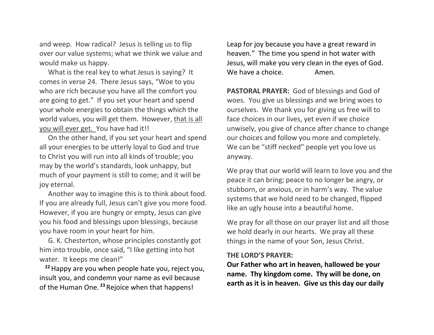and weep. How radical? Jesus is telling us to flip over our value systems; what we think we value and would make us happy.

 What is the real key to what Jesus is saying? It comes in verse 24. There Jesus says, "Woe to you who are rich because you have all the comfort you are going to get." If you set your heart and spend your whole energies to obtain the things which the world values, you will get them. However, that is all you will ever get. You have had it!!

 On the other hand, if you set your heart and spend all your energies to be utterly loyal to God and true to Christ you will run into all kinds of trouble; you may by the world's standards, look unhappy, but much of your payment is still to come; and it will be joy eternal.

 Another way to imagine this is to think about food. If you are already full, Jesus can't give you more food. However, if you are hungry or empty, Jesus can give you his food and blessings upon blessings, because you have room in your heart for him.

 G. K. Chesterton, whose principles constantly got him into trouble, once said, "I like getting into hot water. It keeps me clean!"

**<sup>22</sup>**Happy are you when people hate you, reject you, insult you, and condemn your name as evil because of the Human One. **<sup>23</sup>** Rejoice when that happens!

Leap for joy because you have a great reward in heaven." The time you spend in hot water with Jesus, will make you very clean in the eyes of God. We have a choice. Amen.

**PASTORAL PRAYER:** God of blessings and God of woes. You give us blessings and we bring woes to ourselves. We thank you for giving us free will to face choices in our lives, yet even if we choice unwisely, you give of chance after chance to change our choices and follow you more and completely. We can be "stiff necked" people yet you love us anyway.

We pray that our world will learn to love you and the peace it can bring; peace to no longer be angry, or stubborn, or anxious, or in harm's way. The value systems that we hold need to be changed, flipped like an ugly house into a beautiful home.

We pray for all those on our prayer list and all those we hold dearly in our hearts. We pray all these things in the name of your Son, Jesus Christ.

#### **THE LORD'S PRAYER:**

**Our Father who art in heaven, hallowed be your name. Thy kingdom come. Thy will be done, on earth as it is in heaven. Give us this day our daily**